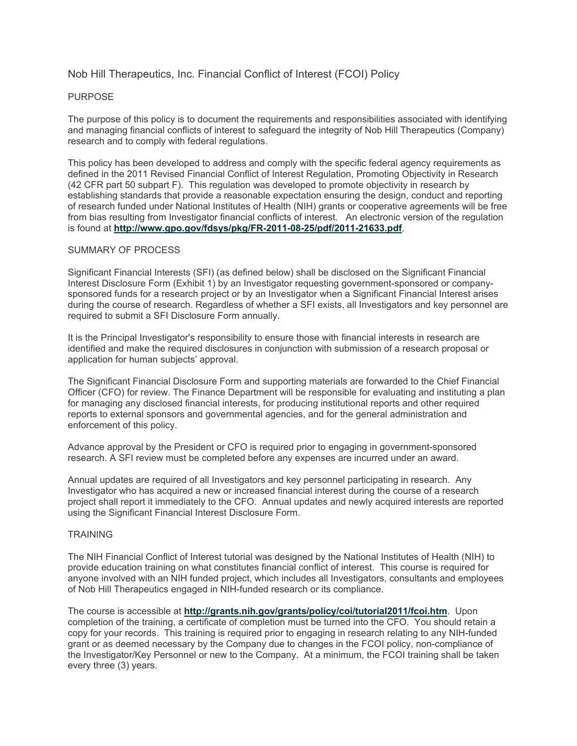# Nob Hill Therapeutics, Inc. Financial Conflict of Interest (FCOI) Policy

#### PURPOSE

The purpose of this policy is to document the requirements and responsibilities associated with identifying and managing financial conflicts of interest to safeguard the integrity of Nob Hill Therapeutics (Company) research and to comply with federal regulations.

This policy has been developed to address and comply with the specific federal agency requirements as defined in the 2011 Revised Financial Conflict of Interest Regulation, Promoting Objectivity in Research (42 CFR part 50 subpart F). This regulation was developed to promote objectivity in research by establishing standards that provide a reasonable expectation ensuring the design, conduct and reporting of research funded under National Institutes of Health (NIH) grants or cooperative agreements will be free from bias resulting from Investigator financial conflicts of interest. An electronic version of the regulation is found at **http://www.gpo.gov/fdsys/pkg/FR-2011-08-25/pdf/2011-21633.pdf**.

#### SUMMARY OF PROCESS

Significant Financial Interests (SFI) (as defined below) shall be disclosed on the Significant Financial Interest Disclosure Form (Exhibit 1) by an Investigator requesting government-sponsored or companysponsored funds for a research project or by an Investigator when a Significant Financial Interest arises during the course of research. Regardless of whether a SFI exists, all Investigators and key personnel are required to submit a SFI Disclosure Form annually.

It is the Principal Investigator's responsibility to ensure those with financial interests in research are identified and make the required disclosures in conjunction with submission of a research proposal or application for human subjects' approval.

The Significant Financial Disclosure Form and supporting materials are forwarded to the Chief Financial Officer (CFO) for review. The Finance Department will be responsible for evaluating and instituting a plan for managing any disclosed financial interests, for producing institutional reports and other required reports to external sponsors and governmental agencies, and for the general administration and enforcement of this policy.

Advance approval by the President or CFO is required prior to engaging in government-sponsored research. A SFI review must be completed before any expenses are incurred under an award.

Annual updates are required of all Investigators and key personnel participating in research. Any Investigator who has acquired a new or increased financial interest during the course of a research project shall report it immediately to the CFO. Annual updates and newly acquired interests are reported using the Significant Financial Interest Disclosure Form.

## **TRAINING**

The NIH Financial Conflict of Interest tutorial was designed by the National Institutes of Health (NIH) to provide education training on what constitutes financial conflict of interest. This course is required for anyone involved with an NIH funded project, which includes all Investigators, consultants and employees of Nob Hill Therapeutics engaged in NIH-funded research or its compliance.

The course is accessible at **http://grants.nih.gov/grants/policy/coi/tutorial2011/fcoi.htm**. Upon completion of the training, a certificate of completion must be turned into the CFO. You should retain a copy for your records. This training is required prior to engaging in research relating to any NIH-funded grant or as deemed necessary by the Company due to changes in the FCOI policy, non-compliance of the Investigator/Key Personnel or new to the Company. At a minimum, the FCOI training shall be taken every three (3) years.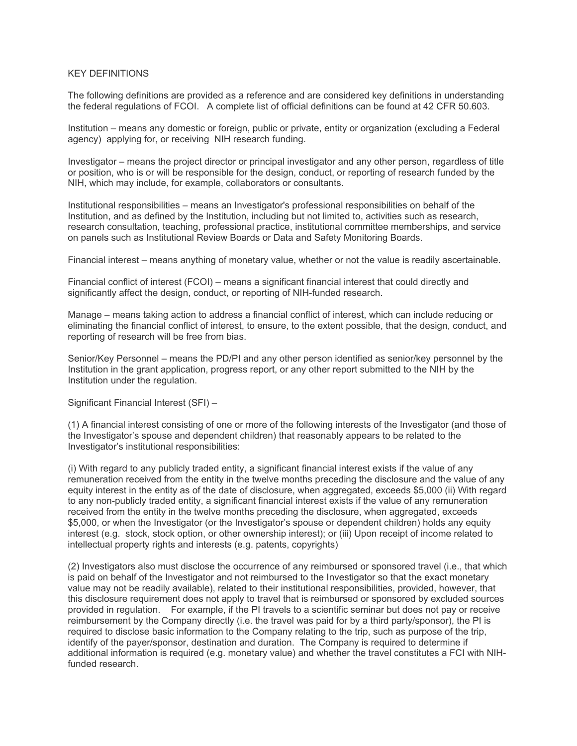## KEY DEFINITIONS

The following definitions are provided as a reference and are considered key definitions in understanding the federal regulations of FCOI. A complete list of official definitions can be found at 42 CFR 50.603.

Institution – means any domestic or foreign, public or private, entity or organization (excluding a Federal agency) applying for, or receiving NIH research funding.

Investigator – means the project director or principal investigator and any other person, regardless of title or position, who is or will be responsible for the design, conduct, or reporting of research funded by the NIH, which may include, for example, collaborators or consultants.

Institutional responsibilities – means an Investigator's professional responsibilities on behalf of the Institution, and as defined by the Institution, including but not limited to, activities such as research, research consultation, teaching, professional practice, institutional committee memberships, and service on panels such as Institutional Review Boards or Data and Safety Monitoring Boards.

Financial interest – means anything of monetary value, whether or not the value is readily ascertainable.

Financial conflict of interest (FCOI) – means a significant financial interest that could directly and significantly affect the design, conduct, or reporting of NIH-funded research.

Manage – means taking action to address a financial conflict of interest, which can include reducing or eliminating the financial conflict of interest, to ensure, to the extent possible, that the design, conduct, and reporting of research will be free from bias.

Senior/Key Personnel – means the PD/PI and any other person identified as senior/key personnel by the Institution in the grant application, progress report, or any other report submitted to the NIH by the Institution under the regulation.

Significant Financial Interest (SFI) –

(1) A financial interest consisting of one or more of the following interests of the Investigator (and those of the Investigator's spouse and dependent children) that reasonably appears to be related to the Investigator's institutional responsibilities:

(i) With regard to any publicly traded entity, a significant financial interest exists if the value of any remuneration received from the entity in the twelve months preceding the disclosure and the value of any equity interest in the entity as of the date of disclosure, when aggregated, exceeds \$5,000 (ii) With regard to any non-publicly traded entity, a significant financial interest exists if the value of any remuneration received from the entity in the twelve months preceding the disclosure, when aggregated, exceeds \$5,000, or when the Investigator (or the Investigator's spouse or dependent children) holds any equity interest (e.g. stock, stock option, or other ownership interest); or (iii) Upon receipt of income related to intellectual property rights and interests (e.g. patents, copyrights)

(2) Investigators also must disclose the occurrence of any reimbursed or sponsored travel (i.e., that which is paid on behalf of the Investigator and not reimbursed to the Investigator so that the exact monetary value may not be readily available), related to their institutional responsibilities, provided, however, that this disclosure requirement does not apply to travel that is reimbursed or sponsored by excluded sources provided in regulation. For example, if the PI travels to a scientific seminar but does not pay or receive reimbursement by the Company directly (i.e. the travel was paid for by a third party/sponsor), the PI is required to disclose basic information to the Company relating to the trip, such as purpose of the trip, identify of the payer/sponsor, destination and duration. The Company is required to determine if additional information is required (e.g. monetary value) and whether the travel constitutes a FCI with NIHfunded research.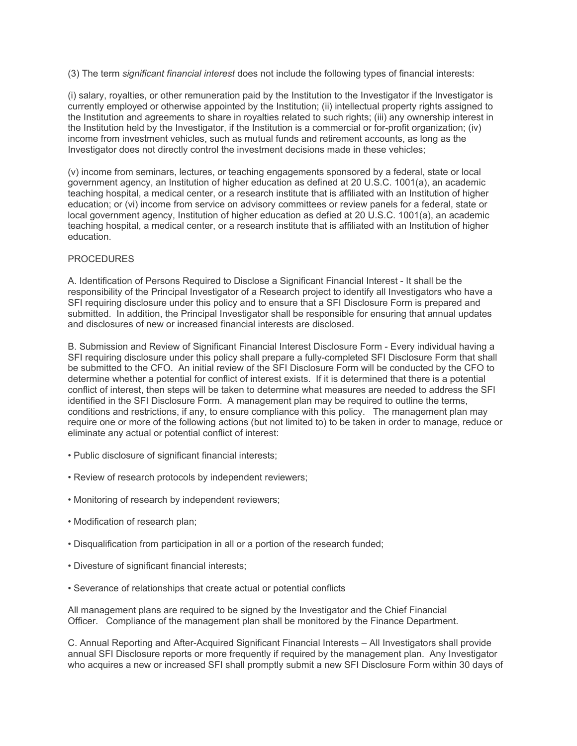(3) The term *significant financial interest* does not include the following types of financial interests:

(i) salary, royalties, or other remuneration paid by the Institution to the Investigator if the Investigator is currently employed or otherwise appointed by the Institution; (ii) intellectual property rights assigned to the Institution and agreements to share in royalties related to such rights; (iii) any ownership interest in the Institution held by the Investigator, if the Institution is a commercial or for-profit organization; (iv) income from investment vehicles, such as mutual funds and retirement accounts, as long as the Investigator does not directly control the investment decisions made in these vehicles;

(v) income from seminars, lectures, or teaching engagements sponsored by a federal, state or local government agency, an Institution of higher education as defined at 20 U.S.C. 1001(a), an academic teaching hospital, a medical center, or a research institute that is affiliated with an Institution of higher education; or (vi) income from service on advisory committees or review panels for a federal, state or local government agency, Institution of higher education as defied at 20 U.S.C. 1001(a), an academic teaching hospital, a medical center, or a research institute that is affiliated with an Institution of higher education.

# **PROCEDURES**

A. Identification of Persons Required to Disclose a Significant Financial Interest - It shall be the responsibility of the Principal Investigator of a Research project to identify all Investigators who have a SFI requiring disclosure under this policy and to ensure that a SFI Disclosure Form is prepared and submitted. In addition, the Principal Investigator shall be responsible for ensuring that annual updates and disclosures of new or increased financial interests are disclosed.

B. Submission and Review of Significant Financial Interest Disclosure Form - Every individual having a SFI requiring disclosure under this policy shall prepare a fully-completed SFI Disclosure Form that shall be submitted to the CFO. An initial review of the SFI Disclosure Form will be conducted by the CFO to determine whether a potential for conflict of interest exists. If it is determined that there is a potential conflict of interest, then steps will be taken to determine what measures are needed to address the SFI identified in the SFI Disclosure Form. A management plan may be required to outline the terms, conditions and restrictions, if any, to ensure compliance with this policy. The management plan may require one or more of the following actions (but not limited to) to be taken in order to manage, reduce or eliminate any actual or potential conflict of interest:

- Public disclosure of significant financial interests;
- Review of research protocols by independent reviewers;
- Monitoring of research by independent reviewers;
- Modification of research plan;
- Disqualification from participation in all or a portion of the research funded;
- Divesture of significant financial interests;
- Severance of relationships that create actual or potential conflicts

All management plans are required to be signed by the Investigator and the Chief Financial Officer. Compliance of the management plan shall be monitored by the Finance Department.

C. Annual Reporting and After-Acquired Significant Financial Interests – All Investigators shall provide annual SFI Disclosure reports or more frequently if required by the management plan. Any Investigator who acquires a new or increased SFI shall promptly submit a new SFI Disclosure Form within 30 days of